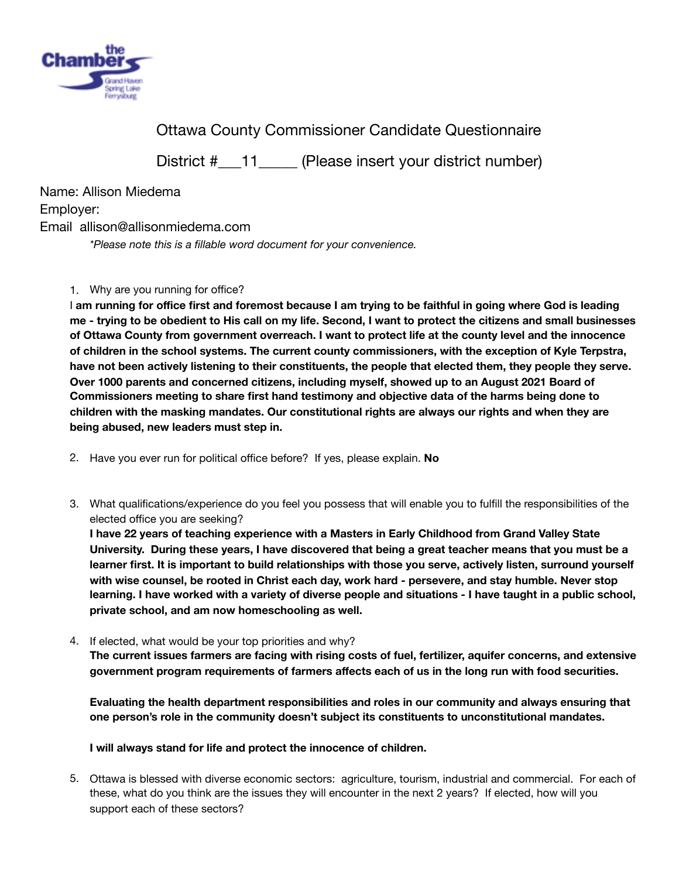

Ottawa County Commissioner Candidate Questionnaire

District #\_\_\_11\_\_\_\_\_ (Please insert your district number)

Name: Allison Miedema Employer: Email allison@allisonmiedema.com 

*\*Please note this is a fillable word document for your convenience.* 

## 1. Why are you running for office?

I **am running for office first and foremost because I am trying to be faithful in going where God is leading me - trying to be obedient to His call on my life. Second, I want to protect the citizens and small businesses of Ottawa County from government overreach. I want to protect life at the county level and the innocence of children in the school systems. The current county commissioners, with the exception of Kyle Terpstra, have not been actively listening to their constituents, the people that elected them, they people they serve. Over 1000 parents and concerned citizens, including myself, showed up to an August 2021 Board of Commissioners meeting to share first hand testimony and objective data of the harms being done to children with the masking mandates. Our constitutional rights are always our rights and when they are being abused, new leaders must step in.** 

- 2. Have you ever run for political office before? If yes, please explain. **No**
- 3. What qualifications/experience do you feel you possess that will enable you to fulfill the responsibilities of the elected office you are seeking?

**I have 22 years of teaching experience with a Masters in Early Childhood from Grand Valley State University. During these years, I have discovered that being a great teacher means that you must be a learner first. It is important to build relationships with those you serve, actively listen, surround yourself with wise counsel, be rooted in Christ each day, work hard - persevere, and stay humble. Never stop learning. I have worked with a variety of diverse people and situations - I have taught in a public school, private school, and am now homeschooling as well.**

4. If elected, what would be your top priorities and why?

**The current issues farmers are facing with rising costs of fuel, fertilizer, aquifer concerns, and extensive government program requirements of farmers affects each of us in the long run with food securities.** 

**Evaluating the health department responsibilities and roles in our community and always ensuring that one person's role in the community doesn't subject its constituents to unconstitutional mandates.** 

**I will always stand for life and protect the innocence of children.** 

5. Ottawa is blessed with diverse economic sectors: agriculture, tourism, industrial and commercial. For each of these, what do you think are the issues they will encounter in the next 2 years? If elected, how will you support each of these sectors?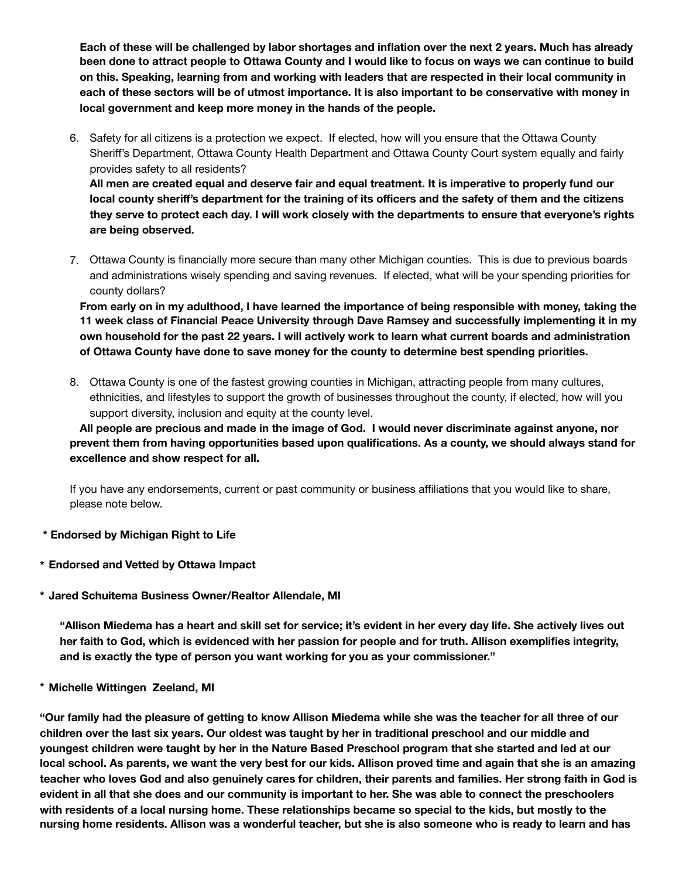**Each of these will be challenged by labor shortages and inflation over the next 2 years. Much has already been done to attract people to Ottawa County and I would like to focus on ways we can continue to build on this. Speaking, learning from and working with leaders that are respected in their local community in each of these sectors will be of utmost importance. It is also important to be conservative with money in local government and keep more money in the hands of the people.**

6. Safety for all citizens is a protection we expect. If elected, how will you ensure that the Ottawa County Sheriff's Department, Ottawa County Health Department and Ottawa County Court system equally and fairly provides safety to all residents? **All men are created equal and deserve fair and equal treatment. It is imperative to properly fund our** 

**local county sheriff's department for the training of its officers and the safety of them and the citizens they serve to protect each day. I will work closely with the departments to ensure that everyone's rights are being observed.**

7. Ottawa County is financially more secure than many other Michigan counties. This is due to previous boards and administrations wisely spending and saving revenues. If elected, what will be your spending priorities for county dollars?

**From early on in my adulthood, I have learned the importance of being responsible with money, taking the 11 week class of Financial Peace University through Dave Ramsey and successfully implementing it in my own household for the past 22 years. I will actively work to learn what current boards and administration of Ottawa County have done to save money for the county to determine best spending priorities.**

8. Ottawa County is one of the fastest growing counties in Michigan, attracting people from many cultures, ethnicities, and lifestyles to support the growth of businesses throughout the county, if elected, how will you support diversity, inclusion and equity at the county level.

**All people are precious and made in the image of God. I would never discriminate against anyone, nor prevent them from having opportunities based upon qualifications. As a county, we should always stand for excellence and show respect for all.** 

If you have any endorsements, current or past community or business affiliations that you would like to share, please note below.

- **\* Endorsed by Michigan Right to Life**
- **\* Endorsed and Vetted by Ottawa Impact**
- **\* Jared Schuitema Business Owner/Realtor Allendale, MI**

**"Allison Miedema has a heart and skill set for service; it's evident in her every day life. She actively lives out her faith to God, which is evidenced with her passion for people and for truth. Allison exemplifies integrity, and is exactly the type of person you want working for you as your commissioner."**

**\* Michelle Wittingen Zeeland, MI**

**"Our family had the pleasure of getting to know Allison Miedema while she was the teacher for all three of our children over the last six years. Our oldest was taught by her in traditional preschool and our middle and youngest children were taught by her in the Nature Based Preschool program that she started and led at our local school. As parents, we want the very best for our kids. Allison proved time and again that she is an amazing teacher who loves God and also genuinely cares for children, their parents and families. Her strong faith in God is evident in all that she does and our community is important to her. She was able to connect the preschoolers with residents of a local nursing home. These relationships became so special to the kids, but mostly to the nursing home residents. Allison was a wonderful teacher, but she is also someone who is ready to learn and has**